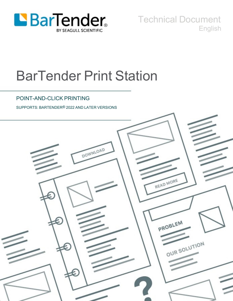

Technical Document English

# BarTender Print Station

# POINT-AND-CLICK PRINTING

SUPPORTS: BARTENDER® 2022 AND LATER VERSIONS

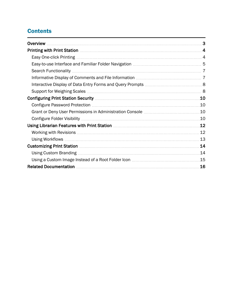# **Contents**

| Overview                                                                                         |    |
|--------------------------------------------------------------------------------------------------|----|
| Printing with Print Station <b>Multiple Community</b> and Alexandrian Anti-                      |    |
|                                                                                                  |    |
|                                                                                                  |    |
|                                                                                                  |    |
|                                                                                                  |    |
|                                                                                                  |    |
|                                                                                                  |    |
|                                                                                                  | 10 |
|                                                                                                  | 10 |
|                                                                                                  |    |
|                                                                                                  |    |
|                                                                                                  | 12 |
|                                                                                                  |    |
|                                                                                                  |    |
| Customizing Print Station <b>Matures 2018</b> Station 2018 12:00 Matures 2019 12:00 Matures 2019 | 14 |
|                                                                                                  | 14 |
|                                                                                                  |    |
|                                                                                                  | 16 |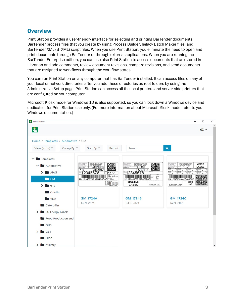# <span id="page-2-0"></span>**Overview**

Print Station provides a user-friendly interface for selecting and printing BarTender documents, BarTender process files that you create by using Process Builder, legacy Batch Maker files, and BarTender XML (BTXML) script files. When you use Print Station, you eliminate the need to open and print documents through BarTender or through external applications. When you are running the BarTender Enterprise edition, you can use also Print Station to access documents that are stored in Librarian and add comments, review document revisions, compare revisions, and send documents that are assigned to workflows through the workflow states.

You can run Print Station on any computer that has BarTender installed. It can access files on any of your local or network directories after you add these directories as root folders by using the Administrative Setup page. Print Station can access all the local printers and server-side printers that are configured on your computer.

Microsoft Kiosk mode for Windows 10 is also supported, so you can lock down a Windows device and dedicate it for Print Station use only. (For more information about Microsoft Kiosk mode, refer to your Windows documentation.)

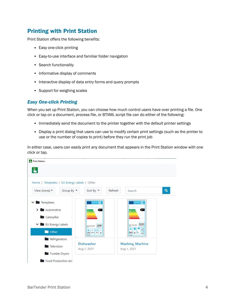# <span id="page-3-0"></span>Printing with Print Station

Print Station offers the following benefits:

- Easy one-click printing
- Easy-to-use interface and familiar folder navigation
- Search functionality
- Informative display of comments
- Interactive display of data entry forms and query prompts
- Support for weighing scales

## <span id="page-3-1"></span>*Easy One-click Printing*

When you set up Print Station, you can choose how much control users have over printing a file. One click or tap on a document, process file, or BTXML script file can do either of the following:

- Immediately send the document to the printer together with the default printer settings
- Display a print dialog that users can use to modify certain print settings (such as the printer to use or the number of copies to print) before they run the print job

In either case, users can easily print any document that appears in the Print Station window with one click or tap.

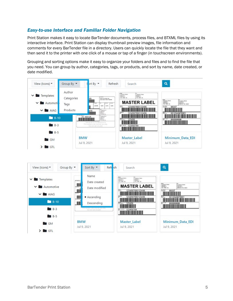## <span id="page-4-0"></span>*Easy-to-use Interface and Familiar Folder Navigation*

Print Station makes it easy to locate BarTender documents, process files, and BTXML files by using its interactive interface. Print Station can display thumbnail preview images, file information and comments for every BarTender file in a directory. Users can quickly locate the file that they want and then send it to the printer with one click of a mouse or tap of a finger (in touchscreen environments).

Grouping and sorting options make it easy to organize your folders and files and to find the file that you need. You can group by author, categories, tags, or products, and sort by name, date created, or date modified.



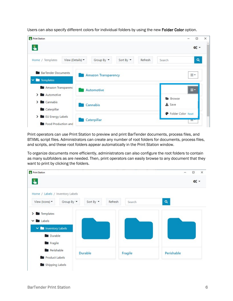| Print Station                                            |                  |                            |                              |         |                                  | □<br>i. |
|----------------------------------------------------------|------------------|----------------------------|------------------------------|---------|----------------------------------|---------|
| $\mathbf{r}$                                             |                  |                            |                              |         |                                  | ₩.      |
| Home / Templates                                         | View (Details) - | Group By                   | Sort By $\blacktriangledown$ | Refresh | Search                           | ۹       |
| <b>BarTender Documents</b><br>$\vee$ <b>I</b> Templates  |                  | <b>Amazon Transparency</b> |                              |         |                                  | Ξ۰      |
| Amazon Transparenc<br>Automotive<br>$\rightarrow$        |                  | Automotive                 |                              |         |                                  | Ξ۰      |
| Cannabis<br>$\overline{ }$<br>Caterpillar                |                  | Cannabis                   |                              |         | <b>■</b> Browse<br><b>去</b> Save |         |
| > EU Energy Labels<br>Caterpillar<br>Food Production and |                  |                            | Folder Color Reset           | ⋍       |                                  |         |

Users can also specify different colors for individual folders by using the new Folder Color option.

Print operators can use Print Station to preview and print BarTender documents, process files, and BTXML script files. Administrators can create any number of root folders for documents, process files, and scripts, and these root folders appear automatically in the Print Station window.

To organize documents more efficiently, administrators can also configure the root folders to contain as many subfolders as are needed. Then, print operators can easily browse to any document that they want to print by clicking the folders.

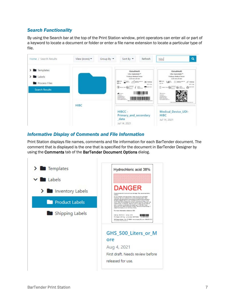# <span id="page-6-0"></span>*Search Functionality*

By using the Search bar at the top of the Print Station window, print operators can enter all or part of a keyword to locate a document or folder or enter a file name extension to locate a particular type of file.



# <span id="page-6-1"></span>*Informative Display of Comments and File Information*

Print Station displays file names, comments and file information for each BarTender document. The comment that is displayed is the one that is specified for the document in BarTender Designer by using the Comments tab of the BarTender Document Options dialog.

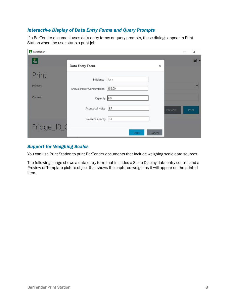## <span id="page-7-0"></span>*Interactive Display of Data Entry Forms and Query Prompts*

If a BarTender document uses data entry forms or query prompts, these dialogs appear in Print Station when the user starts a print job.

| Print Station |                                 |                 | □                               |
|---------------|---------------------------------|-----------------|---------------------------------|
| £.            | Data Entry Form                 | $\times$        | $\boldsymbol{\mathsf{D}}_0^o$ . |
| Print         | Efficiency<br>$A++$             |                 |                                 |
| Printer:      | Annual Power Consumption 152.00 |                 | $\checkmark$                    |
| Copies:       | Capacity 9.0                    |                 |                                 |
|               | Acoustical Noise 8.7            |                 | Print<br>Preview                |
|               | Freezer Capacity 33             |                 |                                 |
| Fridge_10_0   |                                 | Print<br>Cancel |                                 |

## <span id="page-7-1"></span>*Support for Weighing Scales*

You can use Print Station to print BarTender documents that include weighing scale data sources.

The following image shows a data entry form that includes a Scale Display data entry control and a Preview of Template picture object that shows the captured weight as it will appear on the printed item.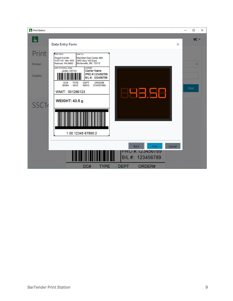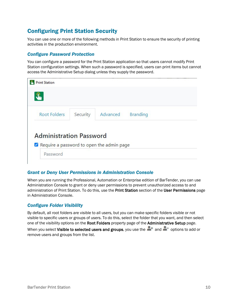# <span id="page-9-0"></span>Configuring Print Station Security

You can use one or more of the following methods in Print Station to ensure the security of printing activities in the production environment.

# <span id="page-9-1"></span>*Configure Password Protection*

You can configure a password for the Print Station application so that users cannot modify Print Station configuration settings. When such a password is specified, users can print items but cannot access the Administrative Setup dialog unless they supply the password.

| <b>Root Folders</b> | Security                       | Advanced |                 |
|---------------------|--------------------------------|----------|-----------------|
|                     |                                |          | <b>Branding</b> |
|                     |                                |          |                 |
|                     |                                |          |                 |
|                     |                                |          |                 |
|                     |                                |          |                 |
|                     |                                |          |                 |
|                     |                                |          |                 |
|                     | <b>Administration Password</b> |          |                 |
|                     |                                |          |                 |
|                     |                                |          |                 |

# <span id="page-9-2"></span>*Grant or Deny User Permissions in Administration Console*

When you are running the Professional, Automation or Enterprise edition of BarTender, you can use Administration Console to grant or deny user permissions to prevent unauthorized access to and administration of Print Station. To do this, use the Print Station section of the User Permissions page in Administration Console.

# <span id="page-9-3"></span>*Configure Folder Visibility*

By default, all root folders are visible to all users, but you can make specific folders visible or not visible to specific users or groups of users. To do this, select the folder that you want, and then select one of the visibility options on the Root Folders property page of the Administrative Setup page. When you select Visible to selected users and groups, you use the  $\bullet$  and  $\bullet$  options to add or remove users and groups from the list.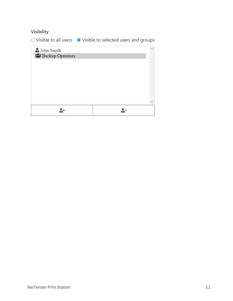# Visibility

 $\bigcirc$  Visible to all users  $\bigcirc$  Visible to selected users and groups

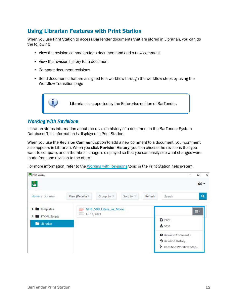# <span id="page-11-0"></span>Using Librarian Features with Print Station

When you use Print Station to access BarTender documents that are stored in Librarian, you can do the following:

- View the revision comments for a document and add a new comment
- View the revision history for a document
- Compare document revisions
- Send documents that are assigned to a workflow through the workflow steps by using the Workflow Transition page



#### <span id="page-11-1"></span>*Working with Revisions*

Librarian stores information about the revision history of a document in the BarTender System Database. This information is displayed in Print Station.

When you use the Revision Comment option to add a new comment to a document, your comment also appears in Librarian. When you click Revision History, you can choose the revisions that you want to compare, and a thumbnail image is displayed so that you can easily see what changes were made from one revision to the other.

For more information, refer to the Working with [Revisions](http://help.seagullscientific.com/#../Subsystems/Print Station/Content/ViewCompareRevisions.htm) topic in the Print Station help system.

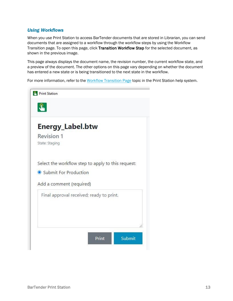## <span id="page-12-0"></span>*Using Workflows*

When you use Print Station to access BarTender documents that are stored in Librarian, you can send documents that are assigned to a workflow through the workflow steps by using the Workflow Transition page. To open this page, click Transition Workflow Step for the selected document, as shown in the previous image.

This page always displays the document name, the revision number, the current workflow state, and a preview of the document. The other options on this page vary depending on whether the document has entered a new state or is being transitioned to the next state in the workflow.

For more information, refer to the Workflow [Transition](http://help.seagullscientific.com/#../Subsystems/Print Station/Content/TransitionWorkflowDialog.htm) Page topic in the Print Station help system.

| <b>Energy_Label.btw</b><br><b>Revision 1</b><br>State: Staging<br>Select the workflow step to apply to this request:<br>Submit For Production |
|-----------------------------------------------------------------------------------------------------------------------------------------------|
|                                                                                                                                               |
|                                                                                                                                               |
| Add a comment (required)                                                                                                                      |
| Final approval received; ready to print.                                                                                                      |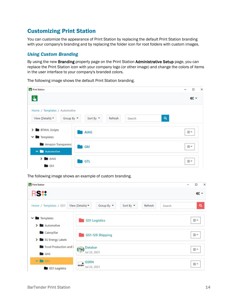# <span id="page-13-0"></span>Customizing Print Station

You can customize the appearance of Print Station by replacing the default Print Station branding with your company's branding and by replacing the folder icon for root folders with custom images.

## <span id="page-13-1"></span>*Using Custom Branding*

By using the new Branding property page on the Print Station Administrative Setup page, you can replace the Print Station icon with your company logo (or other image) and change the colors of items in the user interface to your company's branded colors.

| Print Station                                    |                                          | $\times$<br>$\Box$ |
|--------------------------------------------------|------------------------------------------|--------------------|
| $\mathbf{r}$                                     |                                          | ☆° -               |
| Home / Templates / Automotive                    |                                          |                    |
| View (Details) *                                 | Group By<br>Sort By<br>Refresh<br>Search | Q                  |
| > BTXML Scripts<br>$\vee$ <b>III</b> Templates   | AIAG                                     | Ξ۳                 |
| Amazon Transparenc<br>$\vee$ <b>M</b> Automotive | <b>GM</b>                                | Ξ۳                 |
| > 444G<br>GM                                     | GTL                                      | Ξ۳                 |

The following image shows the default Print Station branding.

The following image shows an example of custom branding.

| Print Station                              |                                |                      |                |         |        | $\times$<br>$\Box$<br>man. |
|--------------------------------------------|--------------------------------|----------------------|----------------|---------|--------|----------------------------|
| <b>RS#</b>                                 |                                |                      |                |         |        | ≎ -                        |
| Home / Templates / GS1                     | View (Details) -               | Group By -           | Sort By $\sim$ | Refresh | Search | ٩                          |
| Templates<br>$\vee$ 1<br>$\sum$ Automotive |                                | <b>GS1 Logistics</b> |                |         |        | Ξ۳                         |
| Caterpillar<br>> EU Energy Labels          |                                | GS1-128 Shipping     |                |         |        | Ξ۳                         |
| Food Production and I<br>GHS               | Databar<br>e<br>Jul 22, 2021   |                      |                |         |        | Ξ۰                         |
| $\times$ En GS1<br>GS1 Logistics           | GSRN<br>49.993<br>Jul 22, 2021 |                      |                |         |        | Ξ۳                         |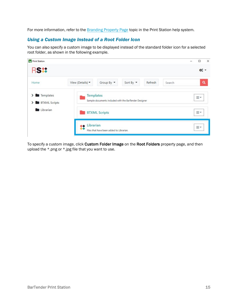<span id="page-14-0"></span>For more information, refer to the [Branding](http://help.seagullscientific.com/#../Subsystems/Print Station/Content/PropertyPage_Branding.htm) Property Page topic in the Print Station help system.

# *Using a Custom Image Instead of a Root Folder Icon*

You can also specify a custom image to be displayed instead of the standard folder icon for a selected root folder, as shown in the following example.



To specify a custom image, click Custom Folder Image on the Root Folders property page, and then upload the \*.png or \*.jpg file that you want to use.